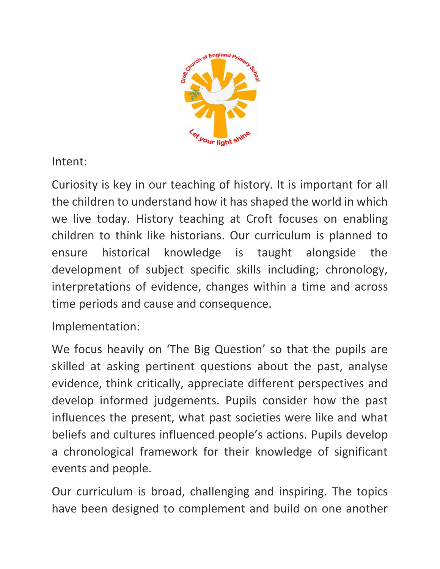

Intent:

Curiosity is key in our teaching of history. It is important for all the children to understand how it has shaped the world in which we live today. History teaching at Croft focuses on enabling children to think like historians. Our curriculum is planned to ensure historical knowledge is taught alongside the development of subject specific skills including; chronology, interpretations of evidence, changes within a time and across time periods and cause and consequence.

Implementation:

We focus heavily on 'The Big Question' so that the pupils are skilled at asking pertinent questions about the past, analyse evidence, think critically, appreciate different perspectives and develop informed judgements. Pupils consider how the past influences the present, what past societies were like and what beliefs and cultures influenced people's actions. Pupils develop a chronological framework for their knowledge of significant events and people.

Our curriculum is broad, challenging and inspiring. The topics have been designed to complement and build on one another